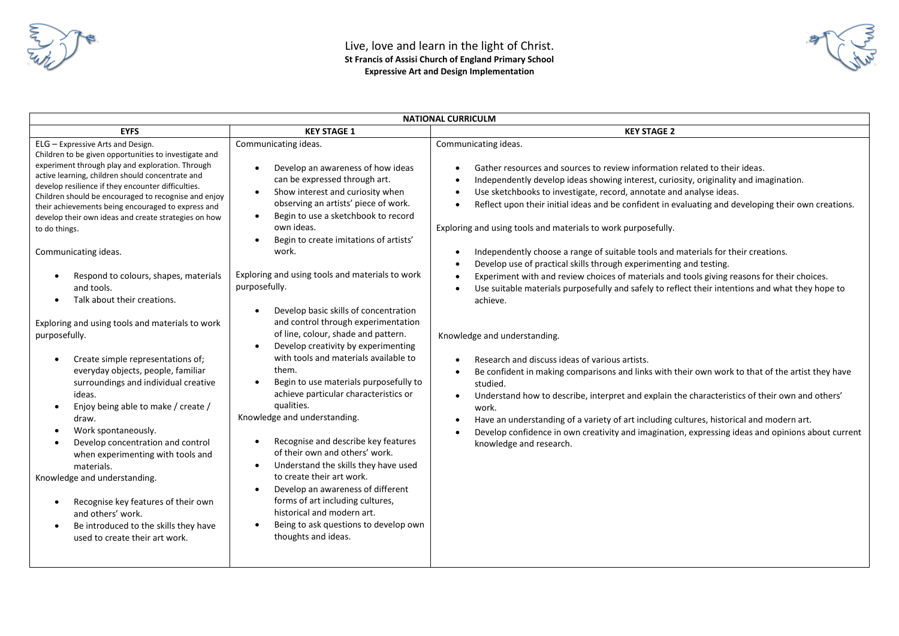

| <b>NATIONAL CURRICULM</b>                                                                                                                                                                                                                                                                                                                                                                                                                                                                                                                                                                                                                                                                                                                                                                                                                                                                                                                                                                                                                                                                                                                                                                                                                                                                                                                                                                                                                                                                                                                                                                                                                                                                                                                                                                                                                                                                                                                                                                                                                                                                                                                                                                                                                                                       |                                                                                                                                                                                                                                                                                                                                                                                                                                                                                                                                                                                                                                                                                                                                                                                                                                                                                                                                                                                                                                                                                                                                                                                                                                                                                                                                                                                         |  |  |  |  |  |  |
|---------------------------------------------------------------------------------------------------------------------------------------------------------------------------------------------------------------------------------------------------------------------------------------------------------------------------------------------------------------------------------------------------------------------------------------------------------------------------------------------------------------------------------------------------------------------------------------------------------------------------------------------------------------------------------------------------------------------------------------------------------------------------------------------------------------------------------------------------------------------------------------------------------------------------------------------------------------------------------------------------------------------------------------------------------------------------------------------------------------------------------------------------------------------------------------------------------------------------------------------------------------------------------------------------------------------------------------------------------------------------------------------------------------------------------------------------------------------------------------------------------------------------------------------------------------------------------------------------------------------------------------------------------------------------------------------------------------------------------------------------------------------------------------------------------------------------------------------------------------------------------------------------------------------------------------------------------------------------------------------------------------------------------------------------------------------------------------------------------------------------------------------------------------------------------------------------------------------------------------------------------------------------------|-----------------------------------------------------------------------------------------------------------------------------------------------------------------------------------------------------------------------------------------------------------------------------------------------------------------------------------------------------------------------------------------------------------------------------------------------------------------------------------------------------------------------------------------------------------------------------------------------------------------------------------------------------------------------------------------------------------------------------------------------------------------------------------------------------------------------------------------------------------------------------------------------------------------------------------------------------------------------------------------------------------------------------------------------------------------------------------------------------------------------------------------------------------------------------------------------------------------------------------------------------------------------------------------------------------------------------------------------------------------------------------------|--|--|--|--|--|--|
| <b>KEY STAGE 1</b><br><b>EYFS</b>                                                                                                                                                                                                                                                                                                                                                                                                                                                                                                                                                                                                                                                                                                                                                                                                                                                                                                                                                                                                                                                                                                                                                                                                                                                                                                                                                                                                                                                                                                                                                                                                                                                                                                                                                                                                                                                                                                                                                                                                                                                                                                                                                                                                                                               | <b>KEY STAGE 2</b>                                                                                                                                                                                                                                                                                                                                                                                                                                                                                                                                                                                                                                                                                                                                                                                                                                                                                                                                                                                                                                                                                                                                                                                                                                                                                                                                                                      |  |  |  |  |  |  |
| Communicating ideas.<br>ELG - Expressive Arts and Design.<br>Children to be given opportunities to investigate and<br>experiment through play and exploration. Through<br>Develop an awareness of how ideas<br>$\bullet$<br>active learning, children should concentrate and<br>can be expressed through art.<br>develop resilience if they encounter difficulties.<br>Show interest and curiosity when<br>$\bullet$<br>Children should be encouraged to recognise and enjoy<br>observing an artists' piece of work.<br>their achievements being encouraged to express and<br>Begin to use a sketchbook to record<br>$\bullet$<br>develop their own ideas and create strategies on how<br>own ideas.<br>to do things.<br>Begin to create imitations of artists'<br>$\bullet$<br>Communicating ideas.<br>work.<br>Exploring and using tools and materials to work<br>Respond to colours, shapes, materials<br>purposefully.<br>and tools.<br>Talk about their creations.<br>Develop basic skills of concentration<br>and control through experimentation<br>Exploring and using tools and materials to work<br>of line, colour, shade and pattern.<br>purposefully.<br>Develop creativity by experimenting<br>$\bullet$<br>with tools and materials available to<br>Create simple representations of;<br>them.<br>everyday objects, people, familiar<br>surroundings and individual creative<br>Begin to use materials purposefully to<br>$\bullet$<br>achieve particular characteristics or<br>ideas.<br>qualities.<br>Enjoy being able to make / create /<br>$\bullet$<br>Knowledge and understanding.<br>draw.<br>Work spontaneously.<br>Recognise and describe key features<br>Develop concentration and control<br>$\bullet$<br>of their own and others' work.<br>when experimenting with tools and<br>Understand the skills they have used<br>materials.<br>$\bullet$<br>to create their art work.<br>Knowledge and understanding.<br>Develop an awareness of different<br>$\bullet$<br>forms of art including cultures,<br>Recognise key features of their own<br>historical and modern art.<br>and others' work.<br>Being to ask questions to develop own<br>Be introduced to the skills they have<br>$\bullet$<br>thoughts and ideas.<br>used to create their art work. | Communicating ideas.<br>Gather resources and sources to review information related to their ideas.<br>Independently develop ideas showing interest, curiosity, originality and imagination.<br>Use sketchbooks to investigate, record, annotate and analyse ideas.<br>Reflect upon their initial ideas and be confident in evaluating and developing their own creations.<br>Exploring and using tools and materials to work purposefully.<br>Independently choose a range of suitable tools and materials for their creations.<br>Develop use of practical skills through experimenting and testing.<br>Experiment with and review choices of materials and tools giving reasons for their choices.<br>Use suitable materials purposefully and safely to reflect their intentions and what they hope to<br>achieve.<br>Knowledge and understanding.<br>Research and discuss ideas of various artists.<br>Be confident in making comparisons and links with their own work to that of the artist they have<br>$\bullet$<br>studied.<br>Understand how to describe, interpret and explain the characteristics of their own and others'<br>$\bullet$<br>work.<br>Have an understanding of a variety of art including cultures, historical and modern art.<br>Develop confidence in own creativity and imagination, expressing ideas and opinions about current<br>knowledge and research. |  |  |  |  |  |  |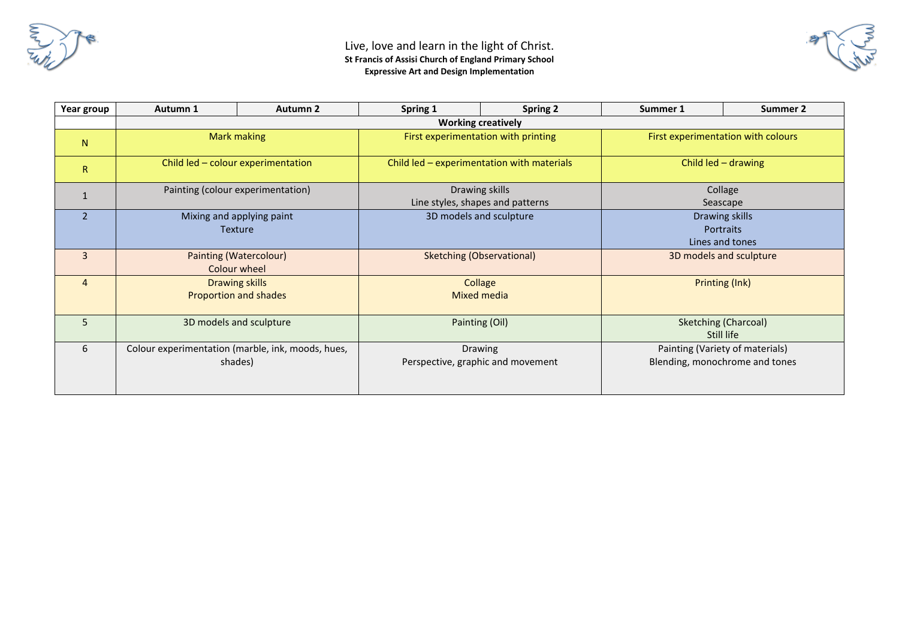

| Year group     | Autumn 1                                          | <b>Autumn 2</b> | Spring 1                                   | <b>Spring 2</b> | Summer 1                           | Summer 2                    |  |  |  |  |
|----------------|---------------------------------------------------|-----------------|--------------------------------------------|-----------------|------------------------------------|-----------------------------|--|--|--|--|
|                | <b>Working creatively</b>                         |                 |                                            |                 |                                    |                             |  |  |  |  |
| N <sub>1</sub> | Mark making                                       |                 | First experimentation with printing        |                 | First experimentation with colours |                             |  |  |  |  |
| $\mathsf{R}$   | Child led - colour experimentation                |                 | Child led - experimentation with materials |                 | Child led - drawing                |                             |  |  |  |  |
|                | Painting (colour experimentation)                 |                 | Drawing skills                             |                 | Collage                            |                             |  |  |  |  |
|                |                                                   |                 | Line styles, shapes and patterns           |                 |                                    | Seascape                    |  |  |  |  |
| $\overline{2}$ | Mixing and applying paint                         |                 | 3D models and sculpture                    |                 | Drawing skills                     |                             |  |  |  |  |
|                | Texture                                           |                 |                                            |                 | <b>Portraits</b>                   |                             |  |  |  |  |
|                |                                                   |                 |                                            |                 | Lines and tones                    |                             |  |  |  |  |
| $\overline{3}$ | <b>Painting (Watercolour)</b>                     |                 | Sketching (Observational)                  |                 | 3D models and sculpture            |                             |  |  |  |  |
|                | Colour wheel                                      |                 |                                            |                 |                                    |                             |  |  |  |  |
| 4              | Drawing skills                                    |                 | Collage                                    |                 | Printing (Ink)                     |                             |  |  |  |  |
|                | <b>Proportion and shades</b>                      |                 | Mixed media                                |                 |                                    |                             |  |  |  |  |
|                |                                                   |                 |                                            |                 |                                    |                             |  |  |  |  |
| 5              | 3D models and sculpture                           |                 | Painting (Oil)                             |                 |                                    | <b>Sketching (Charcoal)</b> |  |  |  |  |
|                |                                                   |                 |                                            |                 | Still life                         |                             |  |  |  |  |
| 6              | Colour experimentation (marble, ink, moods, hues, |                 | <b>Drawing</b>                             |                 | Painting (Variety of materials)    |                             |  |  |  |  |
|                | shades)                                           |                 | Perspective, graphic and movement          |                 | Blending, monochrome and tones     |                             |  |  |  |  |
|                |                                                   |                 |                                            |                 |                                    |                             |  |  |  |  |
|                |                                                   |                 |                                            |                 |                                    |                             |  |  |  |  |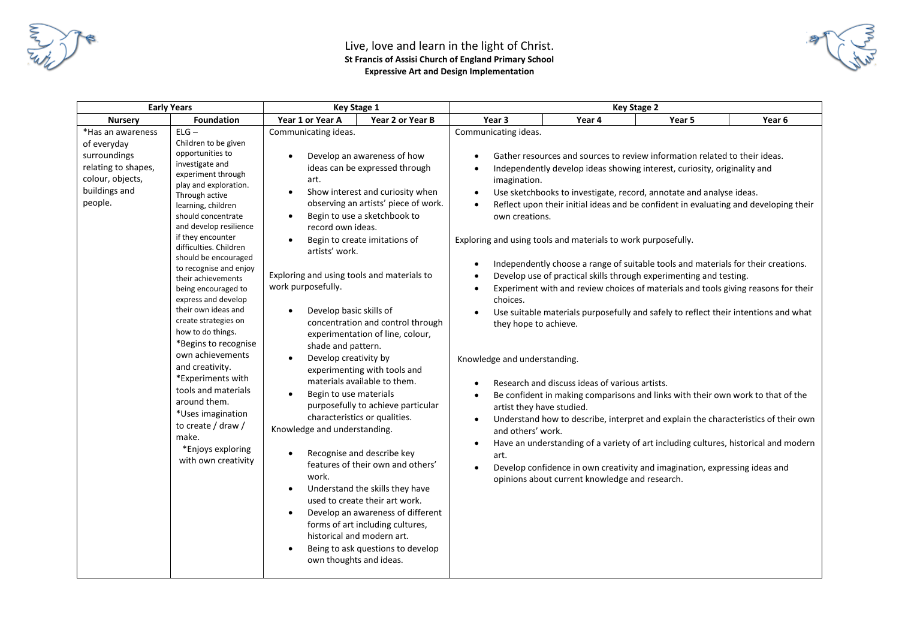



| <b>Early Years</b>                                                                                                      |                                                                                                                                                                                                                                                                                                                                                                                                                                                                                                                                                                                                                                                                                   | <b>Key Stage 1</b>                                                                                                                                                                                                                                                                                                                                                                                                          |                                                                                                                                                                                                                                                                                                                                                                                                                                                                                                                                                                                                                                                                                  | <b>Key Stage 2</b>                                                                                                                                                                                                                                                               |                                                                                                  |                                                                                                                                                                                                                                                                                                                                                                                                                                                                                                                                                                                                                                                                                                                                                                                                                                                                                                                                                                                                             |        |
|-------------------------------------------------------------------------------------------------------------------------|-----------------------------------------------------------------------------------------------------------------------------------------------------------------------------------------------------------------------------------------------------------------------------------------------------------------------------------------------------------------------------------------------------------------------------------------------------------------------------------------------------------------------------------------------------------------------------------------------------------------------------------------------------------------------------------|-----------------------------------------------------------------------------------------------------------------------------------------------------------------------------------------------------------------------------------------------------------------------------------------------------------------------------------------------------------------------------------------------------------------------------|----------------------------------------------------------------------------------------------------------------------------------------------------------------------------------------------------------------------------------------------------------------------------------------------------------------------------------------------------------------------------------------------------------------------------------------------------------------------------------------------------------------------------------------------------------------------------------------------------------------------------------------------------------------------------------|----------------------------------------------------------------------------------------------------------------------------------------------------------------------------------------------------------------------------------------------------------------------------------|--------------------------------------------------------------------------------------------------|-------------------------------------------------------------------------------------------------------------------------------------------------------------------------------------------------------------------------------------------------------------------------------------------------------------------------------------------------------------------------------------------------------------------------------------------------------------------------------------------------------------------------------------------------------------------------------------------------------------------------------------------------------------------------------------------------------------------------------------------------------------------------------------------------------------------------------------------------------------------------------------------------------------------------------------------------------------------------------------------------------------|--------|
| <b>Nursery</b>                                                                                                          | <b>Foundation</b>                                                                                                                                                                                                                                                                                                                                                                                                                                                                                                                                                                                                                                                                 | Year 1 or Year A                                                                                                                                                                                                                                                                                                                                                                                                            | Year 2 or Year B                                                                                                                                                                                                                                                                                                                                                                                                                                                                                                                                                                                                                                                                 | Year <sub>3</sub>                                                                                                                                                                                                                                                                | Year 4                                                                                           | Year 5                                                                                                                                                                                                                                                                                                                                                                                                                                                                                                                                                                                                                                                                                                                                                                                                                                                                                                                                                                                                      | Year 6 |
| *Has an awareness<br>of everyday<br>surroundings<br>relating to shapes,<br>colour, objects,<br>buildings and<br>people. | $ELG -$<br>Children to be given<br>opportunities to<br>investigate and<br>experiment through<br>play and exploration.<br>Through active<br>learning, children<br>should concentrate<br>and develop resilience<br>if they encounter<br>difficulties. Children<br>should be encouraged<br>to recognise and enjoy<br>their achievements<br>being encouraged to<br>express and develop<br>their own ideas and<br>create strategies on<br>how to do things.<br>*Begins to recognise<br>own achievements<br>and creativity.<br>*Experiments with<br>tools and materials<br>around them.<br>*Uses imagination<br>to create / draw /<br>make.<br>*Enjoys exploring<br>with own creativity | Communicating ideas.<br>$\bullet$<br>art.<br>$\bullet$<br>record own ideas.<br>artists' work.<br>Exploring and using tools and materials to<br>work purposefully.<br>Develop basic skills of<br>shade and pattern.<br>Develop creativity by<br>Begin to use materials<br>$\bullet$<br>Knowledge and understanding.<br>$\bullet$<br>work.<br>$\bullet$<br>$\bullet$<br>historical and modern art.<br>own thoughts and ideas. | Develop an awareness of how<br>ideas can be expressed through<br>Show interest and curiosity when<br>observing an artists' piece of work.<br>Begin to use a sketchbook to<br>Begin to create imitations of<br>concentration and control through<br>experimentation of line, colour,<br>experimenting with tools and<br>materials available to them.<br>purposefully to achieve particular<br>characteristics or qualities.<br>Recognise and describe key<br>features of their own and others'<br>Understand the skills they have<br>used to create their art work.<br>Develop an awareness of different<br>forms of art including cultures,<br>Being to ask questions to develop | Communicating ideas.<br>imagination.<br>$\bullet$<br>own creations.<br>Exploring and using tools and materials to work purposefully.<br>choices.<br>they hope to achieve.<br>Knowledge and understanding.<br>artist they have studied.<br>$\bullet$<br>and others' work.<br>art. | Research and discuss ideas of various artists.<br>opinions about current knowledge and research. | Gather resources and sources to review information related to their ideas.<br>Independently develop ideas showing interest, curiosity, originality and<br>Use sketchbooks to investigate, record, annotate and analyse ideas.<br>Reflect upon their initial ideas and be confident in evaluating and developing their<br>Independently choose a range of suitable tools and materials for their creations.<br>Develop use of practical skills through experimenting and testing.<br>Experiment with and review choices of materials and tools giving reasons for their<br>Use suitable materials purposefully and safely to reflect their intentions and what<br>Be confident in making comparisons and links with their own work to that of the<br>Understand how to describe, interpret and explain the characteristics of their own<br>Have an understanding of a variety of art including cultures, historical and modern<br>Develop confidence in own creativity and imagination, expressing ideas and |        |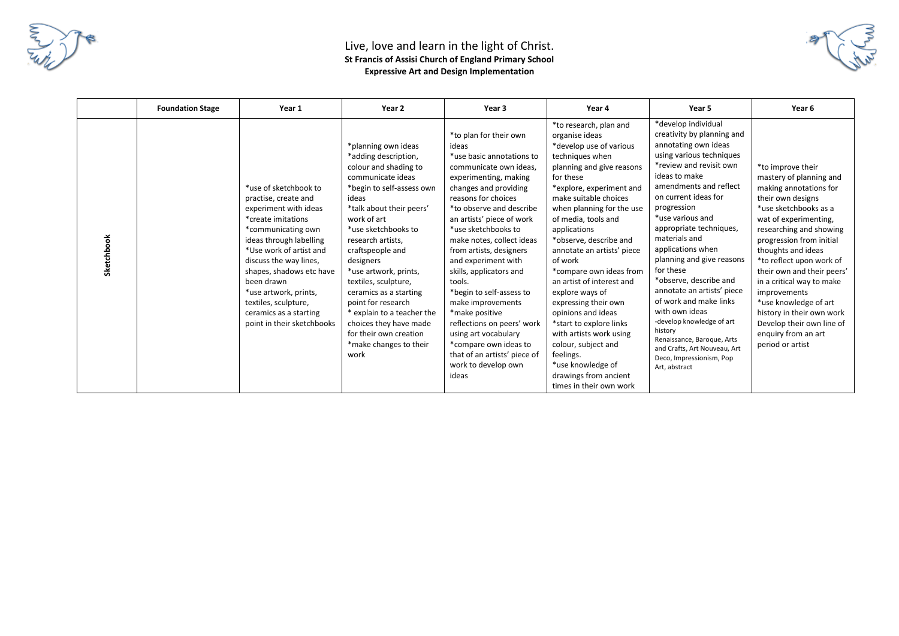



|            | <b>Foundation Stage</b> | Year 1                                                                                                                                                                                                                                                                                                                                                | Year 2                                                                                                                                                                                                                                                                                                                                                                                                                                                                       | Year 3                                                                                                                                                                                                                                                                                                                                                                                                                                                                                                                                                                                | Year 4                                                                                                                                                                                                                                                                                                                                                                                                                                                                                                                                                                                                                   | Year 5                                                                                                                                                                                                                                                                                                                                                                                                                                                                                                                                                                                                   | Year 6                                                                                                                                                                                                                                                                                                                                                                                                                                                          |
|------------|-------------------------|-------------------------------------------------------------------------------------------------------------------------------------------------------------------------------------------------------------------------------------------------------------------------------------------------------------------------------------------------------|------------------------------------------------------------------------------------------------------------------------------------------------------------------------------------------------------------------------------------------------------------------------------------------------------------------------------------------------------------------------------------------------------------------------------------------------------------------------------|---------------------------------------------------------------------------------------------------------------------------------------------------------------------------------------------------------------------------------------------------------------------------------------------------------------------------------------------------------------------------------------------------------------------------------------------------------------------------------------------------------------------------------------------------------------------------------------|--------------------------------------------------------------------------------------------------------------------------------------------------------------------------------------------------------------------------------------------------------------------------------------------------------------------------------------------------------------------------------------------------------------------------------------------------------------------------------------------------------------------------------------------------------------------------------------------------------------------------|----------------------------------------------------------------------------------------------------------------------------------------------------------------------------------------------------------------------------------------------------------------------------------------------------------------------------------------------------------------------------------------------------------------------------------------------------------------------------------------------------------------------------------------------------------------------------------------------------------|-----------------------------------------------------------------------------------------------------------------------------------------------------------------------------------------------------------------------------------------------------------------------------------------------------------------------------------------------------------------------------------------------------------------------------------------------------------------|
| Sketchbook |                         | *use of sketchbook to<br>practise, create and<br>experiment with ideas<br>*create imitations<br>*communicating own<br>ideas through labelling<br>*Use work of artist and<br>discuss the way lines,<br>shapes, shadows etc have<br>been drawn<br>*use artwork, prints,<br>textiles, sculpture,<br>ceramics as a starting<br>point in their sketchbooks | *planning own ideas<br>*adding description,<br>colour and shading to<br>communicate ideas<br>*begin to self-assess own<br>ideas<br>*talk about their peers'<br>work of art<br>*use sketchbooks to<br>research artists,<br>craftspeople and<br>designers<br>*use artwork, prints,<br>textiles, sculpture,<br>ceramics as a starting<br>point for research<br>* explain to a teacher the<br>choices they have made<br>for their own creation<br>*make changes to their<br>work | *to plan for their own<br>ideas<br>*use basic annotations to<br>communicate own ideas,<br>experimenting, making<br>changes and providing<br>reasons for choices<br>*to observe and describe<br>an artists' piece of work<br>*use sketchbooks to<br>make notes, collect ideas<br>from artists, designers<br>and experiment with<br>skills, applicators and<br>tools.<br>*begin to self-assess to<br>make improvements<br>*make positive<br>reflections on peers' work<br>using art vocabulary<br>*compare own ideas to<br>that of an artists' piece of<br>work to develop own<br>ideas | *to research, plan and<br>organise ideas<br>*develop use of various<br>techniques when<br>planning and give reasons<br>for these<br>*explore, experiment and<br>make suitable choices<br>when planning for the use<br>of media, tools and<br>applications<br>*observe, describe and<br>annotate an artists' piece<br>of work<br>*compare own ideas from<br>an artist of interest and<br>explore ways of<br>expressing their own<br>opinions and ideas<br>*start to explore links<br>with artists work using<br>colour, subject and<br>feelings.<br>*use knowledge of<br>drawings from ancient<br>times in their own work | *develop individual<br>creativity by planning and<br>annotating own ideas<br>using various techniques<br>*review and revisit own<br>ideas to make<br>amendments and reflect<br>on current ideas for<br>progression<br>*use various and<br>appropriate techniques,<br>materials and<br>applications when<br>planning and give reasons<br>for these<br>*observe, describe and<br>annotate an artists' piece<br>of work and make links<br>with own ideas<br>-develop knowledge of art<br>history<br>Renaissance, Baroque, Arts<br>and Crafts, Art Nouveau, Art<br>Deco, Impressionism, Pop<br>Art, abstract | *to improve their<br>mastery of planning and<br>making annotations for<br>their own designs<br>*use sketchbooks as a<br>wat of experimenting,<br>researching and showing<br>progression from initial<br>thoughts and ideas<br>*to reflect upon work of<br>their own and their peers'<br>in a critical way to make<br>improvements<br>*use knowledge of art<br>history in their own work<br>Develop their own line of<br>enquiry from an art<br>period or artist |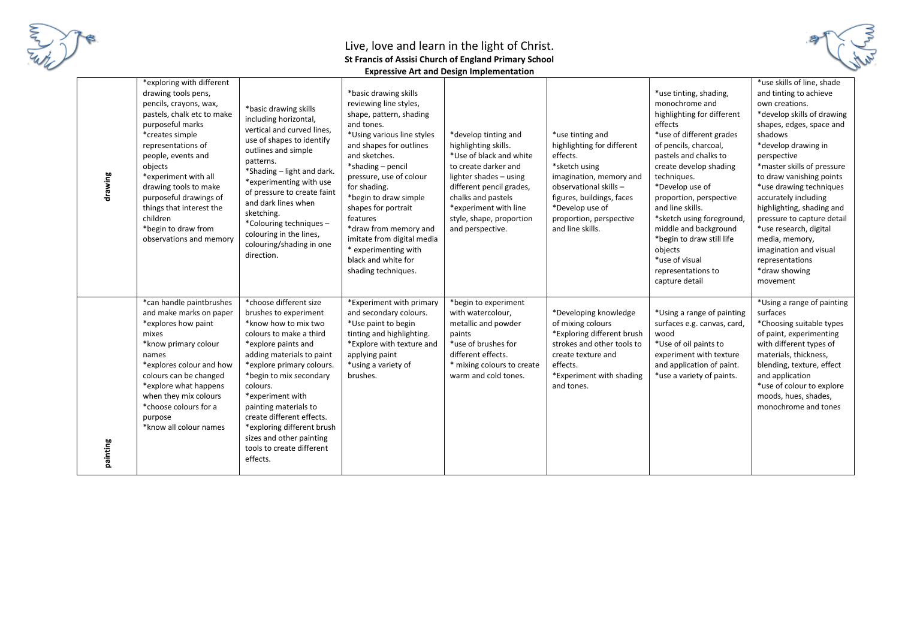

| drawing  | *exploring with different<br>drawing tools pens,<br>pencils, crayons, wax,<br>pastels, chalk etc to make<br>purposeful marks<br>*creates simple<br>representations of<br>people, events and<br>objects<br>*experiment with all<br>drawing tools to make<br>purposeful drawings of<br>things that interest the<br>children<br>*begin to draw from<br>observations and memory | *basic drawing skills<br>including horizontal,<br>vertical and curved lines,<br>use of shapes to identify<br>outlines and simple<br>patterns.<br>*Shading - light and dark.<br>*experimenting with use<br>of pressure to create faint<br>and dark lines when<br>sketching.<br>*Colouring techniques-<br>colouring in the lines,<br>colouring/shading in one<br>direction.                               | *basic drawing skills<br>reviewing line styles,<br>shape, pattern, shading<br>and tones.<br>*Using various line styles<br>and shapes for outlines<br>and sketches.<br>*shading - pencil<br>pressure, use of colour<br>for shading.<br>*begin to draw simple<br>shapes for portrait<br>features<br>*draw from memory and<br>imitate from digital media<br>* experimenting with<br>black and white for<br>shading techniques. | *develop tinting and<br>highlighting skills.<br>*Use of black and white<br>to create darker and<br>lighter shades - using<br>different pencil grades,<br>chalks and pastels<br>*experiment with line<br>style, shape, proportion<br>and perspective. | *use tinting and<br>highlighting for different<br>effects.<br>*sketch using<br>imagination, memory and<br>observational skills -<br>figures, buildings, faces<br>*Develop use of<br>proportion, perspective<br>and line skills. | *use tinting, shading,<br>monochrome and<br>highlighting for different<br>effects<br>*use of different grades<br>of pencils, charcoal,<br>pastels and chalks to<br>create develop shading<br>techniques.<br>*Develop use of<br>proportion, perspective<br>and line skills.<br>*sketch using foreground<br>middle and background<br>*begin to draw still life<br>objects<br>*use of visual<br>representations to<br>capture detail | *use skills of line, shade<br>and tinting to achieve<br>own creations.<br>*develop skills of drawing<br>shapes, edges, space and<br>shadows<br>*develop drawing in<br>perspective<br>*master skills of pressure<br>to draw vanishing points<br>*use drawing techniques<br>accurately including<br>highlighting, shading and<br>pressure to capture detail<br>*use research, digital<br>media, memory,<br>imagination and visual<br>representations<br>*draw showing<br>movement |
|----------|-----------------------------------------------------------------------------------------------------------------------------------------------------------------------------------------------------------------------------------------------------------------------------------------------------------------------------------------------------------------------------|---------------------------------------------------------------------------------------------------------------------------------------------------------------------------------------------------------------------------------------------------------------------------------------------------------------------------------------------------------------------------------------------------------|-----------------------------------------------------------------------------------------------------------------------------------------------------------------------------------------------------------------------------------------------------------------------------------------------------------------------------------------------------------------------------------------------------------------------------|------------------------------------------------------------------------------------------------------------------------------------------------------------------------------------------------------------------------------------------------------|---------------------------------------------------------------------------------------------------------------------------------------------------------------------------------------------------------------------------------|-----------------------------------------------------------------------------------------------------------------------------------------------------------------------------------------------------------------------------------------------------------------------------------------------------------------------------------------------------------------------------------------------------------------------------------|---------------------------------------------------------------------------------------------------------------------------------------------------------------------------------------------------------------------------------------------------------------------------------------------------------------------------------------------------------------------------------------------------------------------------------------------------------------------------------|
| painting | *can handle paintbrushes<br>and make marks on paper<br>*explores how paint<br>mixes<br>*know primary colour<br>names<br>*explores colour and how<br>colours can be changed<br>*explore what happens<br>when they mix colours<br>*choose colours for a<br>purpose<br>*know all colour names                                                                                  | *choose different size<br>brushes to experiment<br>*know how to mix two<br>colours to make a third<br>*explore paints and<br>adding materials to paint<br>*explore primary colours.<br>*begin to mix secondary<br>colours.<br>*experiment with<br>painting materials to<br>create different effects.<br>*exploring different brush<br>sizes and other painting<br>tools to create different<br>effects. | *Experiment with primary<br>and secondary colours.<br>*Use paint to begin<br>tinting and highlighting.<br>*Explore with texture and<br>applying paint<br>*using a variety of<br>brushes.                                                                                                                                                                                                                                    | *begin to experiment<br>with watercolour,<br>metallic and powder<br>paints<br>*use of brushes for<br>different effects.<br>* mixing colours to create<br>warm and cold tones.                                                                        | *Developing knowledge<br>of mixing colours<br>*Exploring different brush<br>strokes and other tools to<br>create texture and<br>effects.<br>*Experiment with shading<br>and tones.                                              | *Using a range of painting<br>surfaces e.g. canvas, card,<br>wood<br>*Use of oil paints to<br>experiment with texture<br>and application of paint.<br>*use a variety of paints.                                                                                                                                                                                                                                                   | *Using a range of painting<br>surfaces<br>*Choosing suitable types<br>of paint, experimenting<br>with different types of<br>materials, thickness,<br>blending, texture, effect<br>and application<br>*use of colour to explore<br>moods, hues, shades,<br>monochrome and tones                                                                                                                                                                                                  |